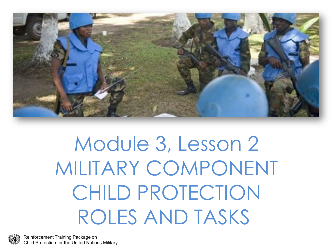

#### Module 3, Lesson 2 MILITARY COMPONENT CHILD PROTECTION ROLES AND TASKS

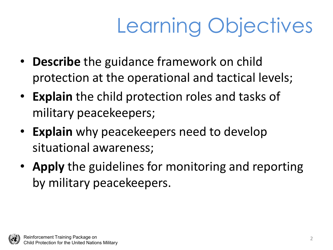# Learning Objectives

- **Describe** the guidance framework on child protection at the operational and tactical levels;
- **Explain** the child protection roles and tasks of military peacekeepers;
- **Explain** why peacekeepers need to develop situational awareness;
- **Apply** the guidelines for monitoring and reporting by military peacekeepers.

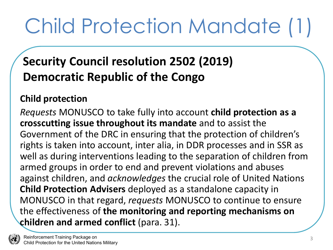## Child Protection Mandate (1)

#### **Security Council resolution 2502 (2019) Democratic Republic of the Congo**

#### **Child protection**

*Requests* MONUSCO to take fully into account **child protection as a crosscutting issue throughout its mandate** and to assist the Government of the DRC in ensuring that the protection of children's rights is taken into account, inter alia, in DDR processes and in SSR as well as during interventions leading to the separation of children from armed groups in order to end and prevent violations and abuses against children, and *acknowledges* the crucial role of United Nations **Child Protection Advisers** deployed as a standalone capacity in MONUSCO in that regard, *requests* MONUSCO to continue to ensure the effectiveness of **the monitoring and reporting mechanisms on children and armed conflict** (para. 31).

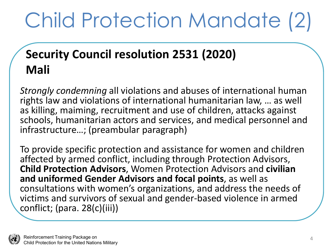## Child Protection Mandate (2)

#### **Security Council resolution 2531 (2020) Mali**

*Strongly condemning* all violations and abuses of international human rights law and violations of international humanitarian law, … as well as killing, maiming, recruitment and use of children, attacks against schools, humanitarian actors and services, and medical personnel and infrastructure…; (preambular paragraph)

To provide specific protection and assistance for women and children affected by armed conflict, including through Protection Advisors, **Child Protection Advisors**, Women Protection Advisors and **civilian and uniformed Gender Advisors and focal points**, as well as consultations with women's organizations, and address the needs of victims and survivors of sexual and gender-based violence in armed conflict; (para. 28(c)(iii))

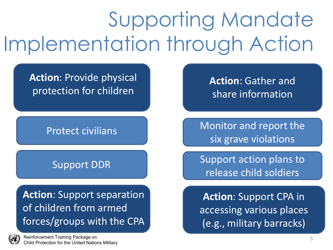## Supporting Mandate Implementation through Action

**Action**: Provide physical protection for children

#### Protect civilians

#### Support DDR

**Action**: Support separation of children from armed forces/groups with the CPA

Reinforcement Training Package on Child Protection for the United Nations Military **Action**: Gather and share information

Monitor and report the six grave violations

Support action plans to release child soldiers

**Action**: Support CPA in accessing various places (e.g., military barracks)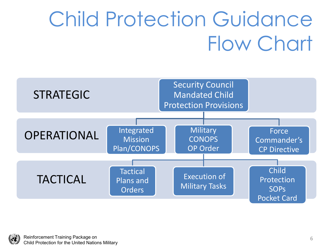### Child Protection Guidance Flow Chart



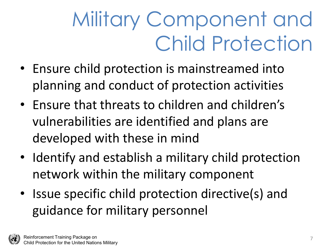### Military Component and Child Protection

- Ensure child protection is mainstreamed into planning and conduct of protection activities
- Ensure that threats to children and children's vulnerabilities are identified and plans are developed with these in mind
- Identify and establish a military child protection network within the military component
- Issue specific child protection directive(s) and guidance for military personnel

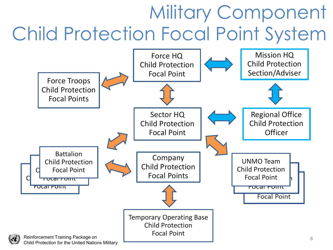#### Military Component Child Protection Focal Point System

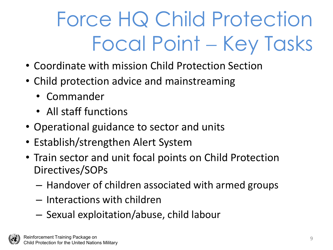## Force HQ Child Protection Focal Point − Key Tasks

- Coordinate with mission Child Protection Section
- Child protection advice and mainstreaming
	- Commander
	- All staff functions
- Operational guidance to sector and units
- Establish/strengthen Alert System
- Train sector and unit focal points on Child Protection Directives/SOPs
	- Handover of children associated with armed groups
	- Interactions with children
	- Sexual exploitation/abuse, child labour

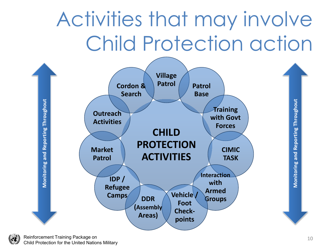#### Activities that may involve Child Protection action

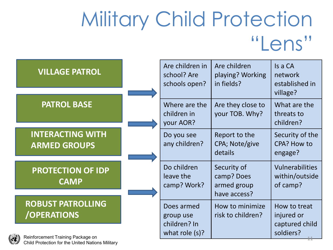#### Military Child Protection "Lens"

| <b>VILLAGE PATROL</b>                          | Are children in<br>school? Are<br>schools open? | Are children<br>playing? Working<br>in fields?           | Is a CA<br>network<br>established in<br>village? |
|------------------------------------------------|-------------------------------------------------|----------------------------------------------------------|--------------------------------------------------|
| <b>PATROL BASE</b>                             | Where are the<br>children in<br>your AOR?       | Are they close to<br>your TOB. Why?                      | What are the<br>threats to<br>children?          |
| <b>INTERACTING WITH</b><br><b>ARMED GROUPS</b> | Do you see<br>any children?                     | Report to the<br>CPA; Note/give<br>details               | Security of the<br>CPA? How to<br>engage?        |
| <b>PROTECTION OF IDP</b><br><b>CAMP</b>        | Do children<br>leave the<br>camp? Work?         | Security of<br>camp? Does<br>armed group<br>have access? | Vulnerabilities<br>within/outside<br>of camp?    |
| <b>ROBUST PATROLLING</b><br><b>/OPERATIONS</b> | Does armed<br>group use                         | How to minimize<br>risk to children?                     | How to treat<br>injured or                       |
| Reinforcement Training Package on              | children? In<br>what role $(s)$ ?               |                                                          | captured child<br>soldiers?                      |

Child Protection for the United Nations Military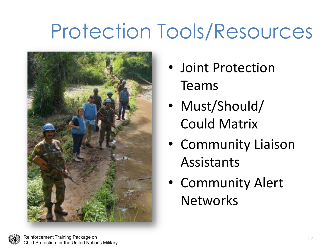#### Protection Tools/Resources



- Joint Protection Teams
- Must/Should/ Could Matrix
- Community Liaison Assistants
- Community Alert **Networks**

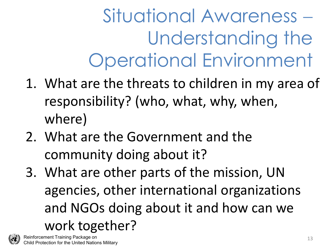Situational Awareness − Understanding the Operational Environment

- 1. What are the threats to children in my area of responsibility? (who, what, why, when, where)
- 2. What are the Government and the community doing about it?
- 3. What are other parts of the mission, UN agencies, other international organizations and NGOs doing about it and how can we work together?

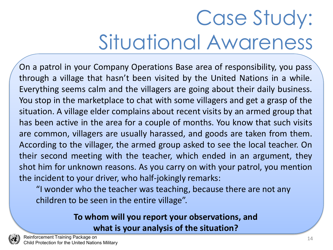### Case Study: Situational Awareness

On a patrol in your Company Operations Base area of responsibility, you pass through a village that hasn't been visited by the United Nations in a while. Everything seems calm and the villagers are going about their daily business. You stop in the marketplace to chat with some villagers and get a grasp of the situation. A village elder complains about recent visits by an armed group that has been active in the area for a couple of months. You know that such visits are common, villagers are usually harassed, and goods are taken from them. According to the villager, the armed group asked to see the local teacher. On their second meeting with the teacher, which ended in an argument, they shot him for unknown reasons. As you carry on with your patrol, you mention the incident to your driver, who half-jokingly remarks:

"I wonder who the teacher was teaching, because there are not any children to be seen in the entire village".

#### **To whom will you report your observations, and what is your analysis of the situation?**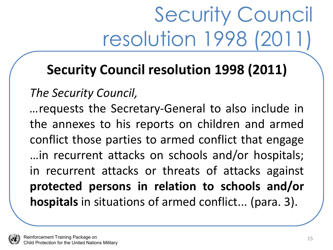## Security Council resolution 1998 (2011)

#### **Security Council resolution 1998 (2011)**

#### *The Security Council,*

*…*requests the Secretary-General to also include in the annexes to his reports on children and armed conflict those parties to armed conflict that engage …in recurrent attacks on schools and/or hospitals; in recurrent attacks or threats of attacks against **protected persons in relation to schools and/or hospitals** in situations of armed conflict... (para. 3).

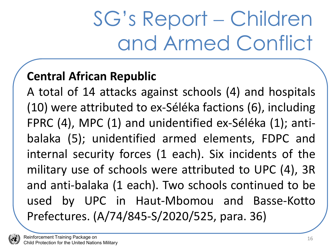#### SG's Report − Children and Armed Conflict

#### **Central African Republic**

A total of 14 attacks against schools (4) and hospitals (10) were attributed to ex-Séléka factions (6), including FPRC (4), MPC (1) and unidentified ex-Séléka (1); antibalaka (5); unidentified armed elements, FDPC and internal security forces (1 each). Six incidents of the military use of schools were attributed to UPC (4), 3R and anti-balaka (1 each). Two schools continued to be used by UPC in Haut-Mbomou and Basse-Kotto Prefectures. (A/74/845-S/2020/525, para. 36)

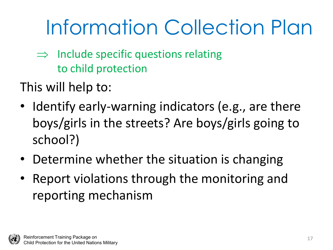### Information Collection Plan

- $\Rightarrow$  Include specific questions relating to child protection
- This will help to:
- Identify early-warning indicators (e.g., are there boys/girls in the streets? Are boys/girls going to school?)
- Determine whether the situation is changing
- Report violations through the monitoring and reporting mechanism

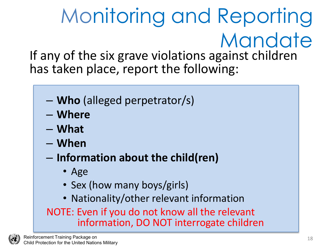#### Monitoring and Reporting Mandate If any of the six grave violations against children has taken place, report the following:

- **Who** (alleged perpetrator/s)
- **Where**
- **What**
- **When**
- **Information about the child(ren)**
	- Age
	- Sex (how many boys/girls)
	- Nationality/other relevant information

NOTE: Even if you do not know all the relevant information, DO NOT interrogate children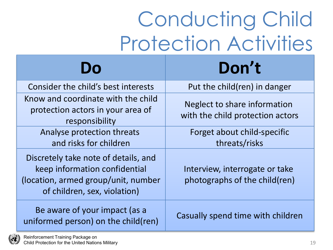### Conducting Child Protection Activities

|                                                                                                                                              | Don't                                                            |
|----------------------------------------------------------------------------------------------------------------------------------------------|------------------------------------------------------------------|
| Consider the child's best interests                                                                                                          | Put the child(ren) in danger                                     |
| Know and coordinate with the child<br>protection actors in your area of<br>responsibility                                                    | Neglect to share information<br>with the child protection actors |
| Analyse protection threats<br>and risks for children                                                                                         | Forget about child-specific<br>threats/risks                     |
| Discretely take note of details, and<br>keep information confidential<br>(location, armed group/unit, number<br>of children, sex, violation) | Interview, interrogate or take<br>photographs of the child(ren)  |
| Be aware of your impact (as a<br>uniformed person) on the child(ren)                                                                         | Casually spend time with children                                |

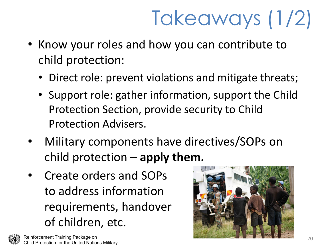## Takeaways (1/2)

- Know your roles and how you can contribute to child protection:
	- Direct role: prevent violations and mitigate threats;
	- Support role: gather information, support the Child Protection Section, provide security to Child Protection Advisers.
- Military components have directives/SOPs on child protection – **apply them.**
- Create orders and SOPs to address information requirements, handover of children, etc.

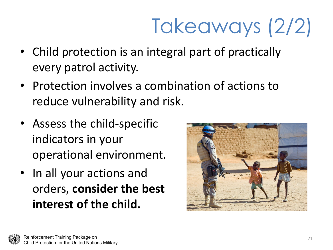# Takeaways (2/2)

- Child protection is an integral part of practically every patrol activity.
- Protection involves a combination of actions to reduce vulnerability and risk.
- Assess the child-specific indicators in your operational environment.
- In all your actions and orders, **consider the best interest of the child.**



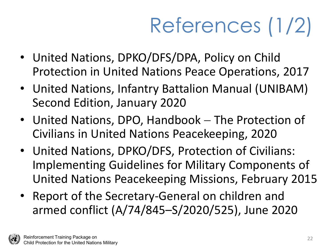# References (1/2)

- United Nations, DPKO/DFS/DPA, Policy on Child Protection in United Nations Peace Operations, 2017
- United Nations, Infantry Battalion Manual (UNIBAM) Second Edition, January 2020
- United Nations, DPO, Handbook − The Protection of Civilians in United Nations Peacekeeping, 2020
- United Nations, DPKO/DFS, Protection of Civilians: Implementing Guidelines for Military Components of United Nations Peacekeeping Missions, February 2015
- Report of the Secretary-General on children and armed conflict (A/74/845–S/2020/525), June 2020

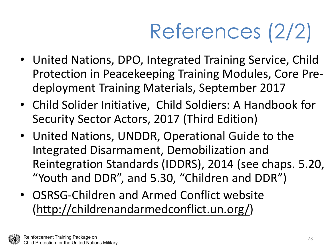# References (2/2)

- United Nations, DPO, Integrated Training Service, Child Protection in Peacekeeping Training Modules, Core Predeployment Training Materials, September 2017
- Child Solider Initiative, Child Soldiers: A Handbook for Security Sector Actors, 2017 (Third Edition)
- United Nations, UNDDR, Operational Guide to the Integrated Disarmament, Demobilization and Reintegration Standards (IDDRS), 2014 (see chaps. 5.20, "Youth and DDR", and 5.30, "Children and DDR")
- OSRSG-Children and Armed Conflict website ([http://childrenandarmedconflict.un.org/\)](http://childrenandarmedconflict.un.org/)